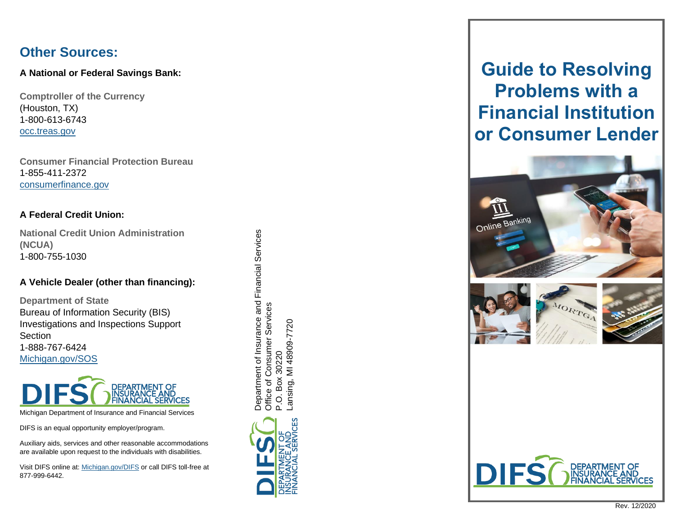## **Other Sources:**

#### **A National or Federal Savings Bank:**

**Comptroller of the Currency**  (Houston, TX) 1-800-613-6743 [occ.treas.gov](http://www.occ.treas.gov/)

**Consumer Financial Protection Bureau** 1-855-411-2372 [consumerfinance.gov](http://www.consumerfinance.gov/)

#### **A Federal Credit Union:**

**National Credit Union Administration (NCUA)** 1-800-755 -1030

#### **A Vehicle Dealer (other than financing):**

**Department of State** Bureau of Information Security (BIS) Investigations and Inspections Support **Section** 1-888-767 -6424 [Michigan.gov/SOS](http://www.michigan.gov/SOS)



Michigan Department of Insurance and Financial Services

DIFS is an equal opportunity employer/program.

Auxiliary aids, services and other reasonable accommodations are available upon request to the individuals with disabilities.

Visit DIFS online at[: Michigan.gov/DIFS](http://www.michigan.gov/DIFS) or call DIFS toll-free at 877 -999 -6442 .

Department of Insurance and Financial Services Department of Insurance and Financial Services Services Office of Consumer Services ansing, MI 48909-7720 Lansing, MI 48909-7720 Office of Consumer 30220 P.O. Box 30220 Box  $\overline{Q}$ 



# **Guide to Resolving Problems with a Financial Institution or Consumer Lender**







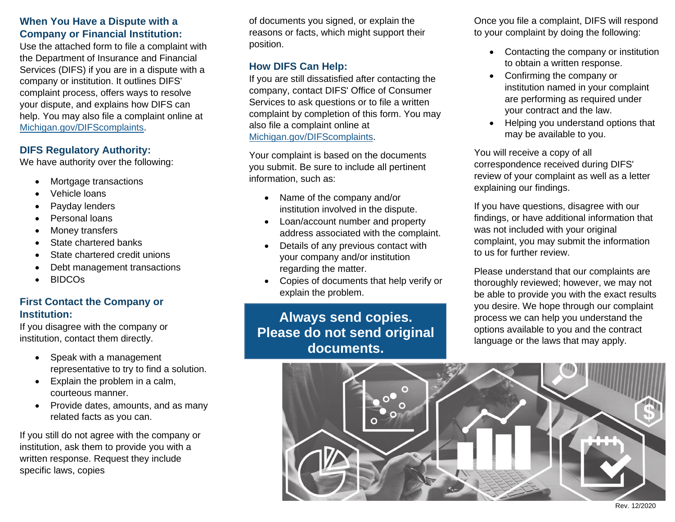#### **When You Have a Dispute with a Company or Financial Institution:**

Use the attached form to file a complaint with the Department of Insurance and Financial Services (DIFS) if you are in a dispute with a company or institution. It outlines DIFS' complaint process, offers ways to resolve your dispute, and explains how DIFS can help. You may also file a complaint online at [Michigan.gov/DIFScomplaints.](http://www.michigan.gov/DIFScomplaints)

#### **DIFS Regulatory Authority:**

We have authority over the following:

- Mortgage transactions
- Vehicle loans
- Payday lenders
- Personal loans
- Money transfers
- State chartered banks
- State chartered credit unions
- Debt management transactions
- BIDCOs

### **First Contact the Company or Institution:**

If you disagree with the company or institution, contact them directly.

- Speak with a management representative to try to find a solution.
- Explain the problem in a calm, courteous manner.
- Provide dates, amounts, and as many related facts as you can.

If you still do not agree with the company or institution, ask them to provide you with a written response. Request they include specific laws, copies

of documents you signed, or explain the reasons or facts, which might support their position.

#### **How DIFS Can Help:**

If you are still dissatisfied after contacting the company, contact DIFS' Office of Consumer Services to ask questions or to file a written complaint by completion of this form. You may also file a complaint online at [Michigan.gov/DIFScomplaints.](http://www.michigan.gov/DIFScomplaints)

Your complaint is based on the documents you submit. Be sure to include all pertinent information, such as:

- Name of the company and/or institution involved in the dispute.
- Loan/account number and property address associated with the complaint.
- Details of any previous contact with your company and/or institution regarding the matter.
- Copies of documents that help verify or explain the problem.

**Always send copies. Please do not send original documents.**

Once you file a complaint, DIFS will respond to your complaint by doing the following:

- Contacting the company or institution to obtain a written response.
- Confirming the company or institution named in your complaint are performing as required under your contract and the law.
- Helping you understand options that may be available to you.

You will receive a copy of all correspondence received during DIFS' review of your complaint as well as a letter explaining our findings.

If you have questions, disagree with our findings, or have additional information that was not included with your original complaint, you may submit the information to us for further review.

Please understand that our complaints are thoroughly reviewed; however, we may not be able to provide you with the exact results you desire. We hope through our complaint process we can help you understand the options available to you and the contract language or the laws that may apply.



Rev. 12/2020